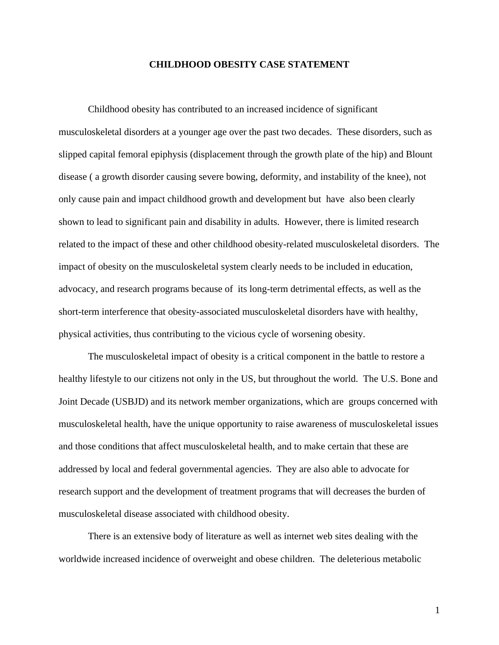#### **CHILDHOOD OBESITY CASE STATEMENT**

 Childhood obesity has contributed to an increased incidence of significant musculoskeletal disorders at a younger age over the past two decades. These disorders, such as slipped capital femoral epiphysis (displacement through the growth plate of the hip) and Blount disease ( a growth disorder causing severe bowing, deformity, and instability of the knee), not only cause pain and impact childhood growth and development but have also been clearly shown to lead to significant pain and disability in adults. However, there is limited research related to the impact of these and other childhood obesity-related musculoskeletal disorders. The impact of obesity on the musculoskeletal system clearly needs to be included in education, advocacy, and research programs because of its long-term detrimental effects, as well as the short-term interference that obesity-associated musculoskeletal disorders have with healthy, physical activities, thus contributing to the vicious cycle of worsening obesity.

 The musculoskeletal impact of obesity is a critical component in the battle to restore a healthy lifestyle to our citizens not only in the US, but throughout the world. The U.S. Bone and Joint Decade (USBJD) and its network member organizations, which are groups concerned with musculoskeletal health, have the unique opportunity to raise awareness of musculoskeletal issues and those conditions that affect musculoskeletal health, and to make certain that these are addressed by local and federal governmental agencies. They are also able to advocate for research support and the development of treatment programs that will decreases the burden of musculoskeletal disease associated with childhood obesity.

 There is an extensive body of literature as well as internet web sites dealing with the worldwide increased incidence of overweight and obese children. The deleterious metabolic

1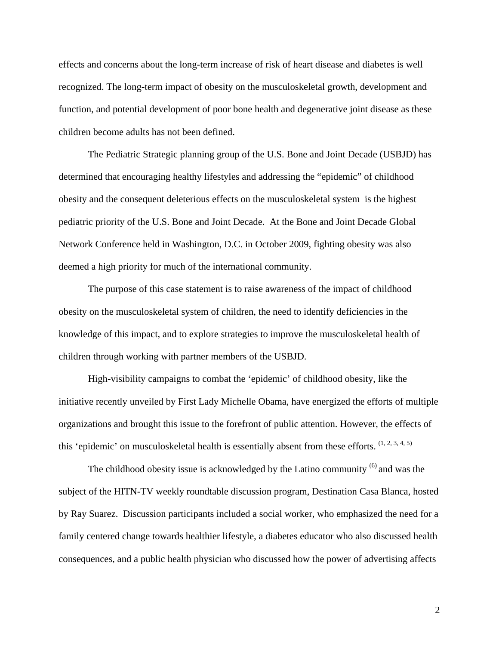effects and concerns about the long-term increase of risk of heart disease and diabetes is well recognized. The long-term impact of obesity on the musculoskeletal growth, development and function, and potential development of poor bone health and degenerative joint disease as these children become adults has not been defined.

 The Pediatric Strategic planning group of the U.S. Bone and Joint Decade (USBJD) has determined that encouraging healthy lifestyles and addressing the "epidemic" of childhood obesity and the consequent deleterious effects on the musculoskeletal system is the highest pediatric priority of the U.S. Bone and Joint Decade. At the Bone and Joint Decade Global Network Conference held in Washington, D.C. in October 2009, fighting obesity was also deemed a high priority for much of the international community.

 The purpose of this case statement is to raise awareness of the impact of childhood obesity on the musculoskeletal system of children, the need to identify deficiencies in the knowledge of this impact, and to explore strategies to improve the musculoskeletal health of children through working with partner members of the USBJD.

 High-visibility campaigns to combat the 'epidemic' of childhood obesity, like the initiative recently unveiled by First Lady Michelle Obama, have energized the efforts of multiple organizations and brought this issue to the forefront of public attention. However, the effects of this 'epidemic' on musculoskeletal health is essentially absent from these efforts.  $(1, 2, 3, 4, 5)$ 

The childhood obesity issue is acknowledged by the Latino community <sup>(6)</sup> and was the subject of the HITN-TV weekly roundtable discussion program, Destination Casa Blanca, hosted by Ray Suarez. Discussion participants included a social worker, who emphasized the need for a family centered change towards healthier lifestyle, a diabetes educator who also discussed health consequences, and a public health physician who discussed how the power of advertising affects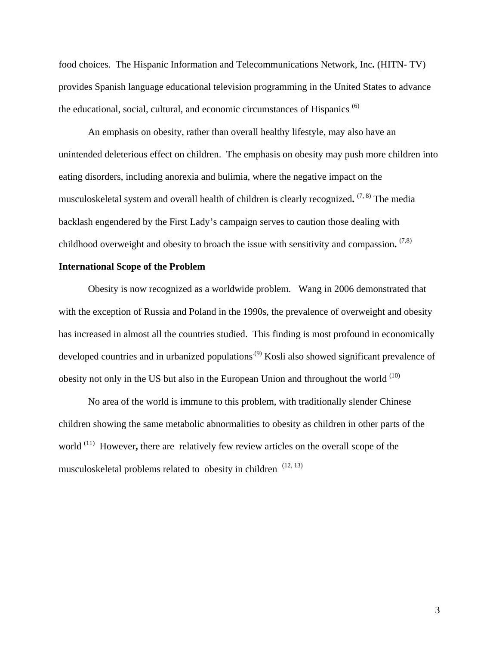food choices. The Hispanic Information and Telecommunications Network, Inc**.** (HITN- TV) provides Spanish language educational television programming in the United States to advance the educational, social, cultural, and economic circumstances of Hispanics  $(6)$ 

 An emphasis on obesity, rather than overall healthy lifestyle, may also have an unintended deleterious effect on children. The emphasis on obesity may push more children into eating disorders, including anorexia and bulimia, where the negative impact on the musculoskeletal system and overall health of children is clearly recognized**.** (7, 8) The media backlash engendered by the First Lady's campaign serves to caution those dealing with childhood overweight and obesity to broach the issue with sensitivity and compassion**.** (7,8)

# **International Scope of the Problem**

 Obesity is now recognized as a worldwide problem. Wang in 2006 demonstrated that with the exception of Russia and Poland in the 1990s, the prevalence of overweight and obesity has increased in almost all the countries studied. This finding is most profound in economically developed countries and in urbanized populations<sup>(9)</sup> Kosli also showed significant prevalence of obesity not only in the US but also in the European Union and throughout the world  $(10)$ 

 No area of the world is immune to this problem, with traditionally slender Chinese children showing the same metabolic abnormalities to obesity as children in other parts of the world <sup>(11)</sup> However, there are relatively few review articles on the overall scope of the musculoskeletal problems related to obesity in children  $(12, 13)$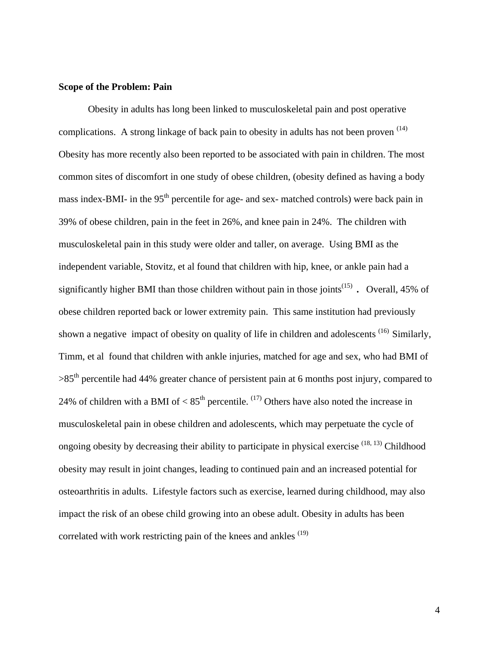#### **Scope of the Problem: Pain**

Obesity in adults has long been linked to musculoskeletal pain and post operative complications. A strong linkage of back pain to obesity in adults has not been proven (14) Obesity has more recently also been reported to be associated with pain in children. The most common sites of discomfort in one study of obese children, (obesity defined as having a body mass index-BMI- in the 95<sup>th</sup> percentile for age- and sex- matched controls) were back pain in 39% of obese children, pain in the feet in 26%, and knee pain in 24%. The children with musculoskeletal pain in this study were older and taller, on average. Using BMI as the independent variable, Stovitz, et al found that children with hip, knee, or ankle pain had a significantly higher BMI than those children without pain in those joints(15) **.** Overall, 45% of obese children reported back or lower extremity pain. This same institution had previously shown a negative impact of obesity on quality of life in children and adolescents <sup>(16)</sup> Similarly, Timm, et al found that children with ankle injuries, matched for age and sex, who had BMI of  $>85<sup>th</sup>$  percentile had 44% greater chance of persistent pain at 6 months post injury, compared to 24% of children with a BMI of  $< 85<sup>th</sup>$  percentile. <sup>(17)</sup> Others have also noted the increase in musculoskeletal pain in obese children and adolescents, which may perpetuate the cycle of ongoing obesity by decreasing their ability to participate in physical exercise  $(18, 13)$  Childhood obesity may result in joint changes, leading to continued pain and an increased potential for osteoarthritis in adults. Lifestyle factors such as exercise, learned during childhood, may also impact the risk of an obese child growing into an obese adult. Obesity in adults has been correlated with work restricting pain of the knees and ankles  $(19)$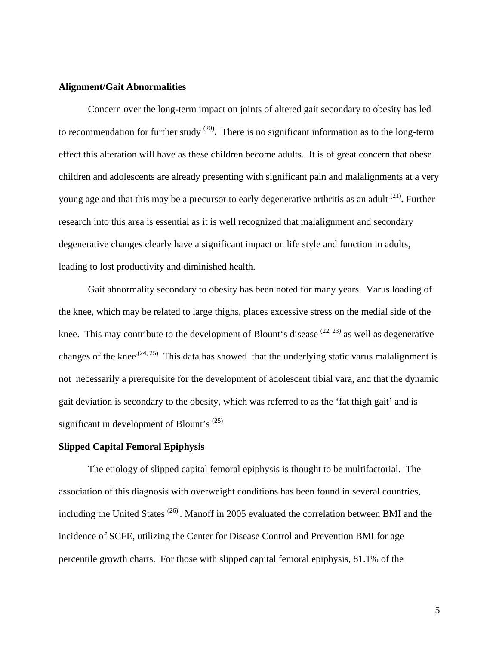#### **Alignment/Gait Abnormalities**

 Concern over the long-term impact on joints of altered gait secondary to obesity has led to recommendation for further study (20)**.** There is no significant information as to the long-term effect this alteration will have as these children become adults. It is of great concern that obese children and adolescents are already presenting with significant pain and malalignments at a very young age and that this may be a precursor to early degenerative arthritis as an adult (21)**.** Further research into this area is essential as it is well recognized that malalignment and secondary degenerative changes clearly have a significant impact on life style and function in adults, leading to lost productivity and diminished health.

Gait abnormality secondary to obesity has been noted for many years. Varus loading of the knee, which may be related to large thighs, places excessive stress on the medial side of the knee. This may contribute to the development of Blount's disease  $(22, 23)$  as well as degenerative changes of the knee<sup> $(24, 25)$ </sup> This data has showed that the underlying static varus malalignment is not necessarily a prerequisite for the development of adolescent tibial vara, and that the dynamic gait deviation is secondary to the obesity, which was referred to as the 'fat thigh gait' and is significant in development of Blount's  $^{(25)}$ 

## **Slipped Capital Femoral Epiphysis**

 The etiology of slipped capital femoral epiphysis is thought to be multifactorial. The association of this diagnosis with overweight conditions has been found in several countries, including the United States<sup>(26)</sup>. Manoff in 2005 evaluated the correlation between BMI and the incidence of SCFE, utilizing the Center for Disease Control and Prevention BMI for age percentile growth charts. For those with slipped capital femoral epiphysis, 81.1% of the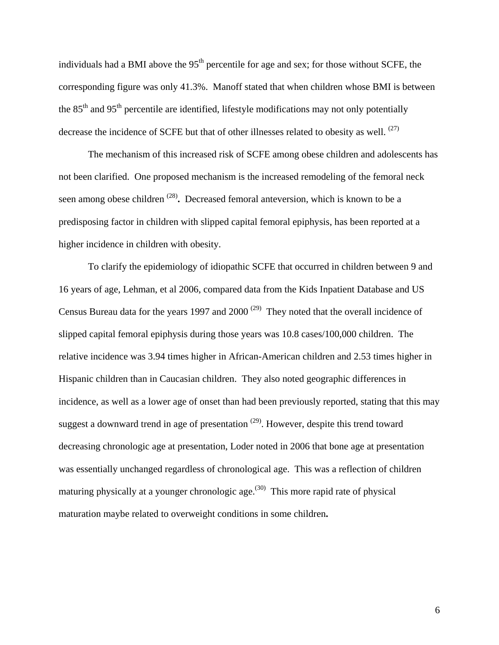individuals had a BMI above the  $95<sup>th</sup>$  percentile for age and sex; for those without SCFE, the corresponding figure was only 41.3%. Manoff stated that when children whose BMI is between the  $85<sup>th</sup>$  and  $95<sup>th</sup>$  percentile are identified, lifestyle modifications may not only potentially decrease the incidence of SCFE but that of other illnesses related to obesity as well. <sup>(27)</sup>

 The mechanism of this increased risk of SCFE among obese children and adolescents has not been clarified. One proposed mechanism is the increased remodeling of the femoral neck seen among obese children (28)**.** Decreased femoral anteversion, which is known to be a predisposing factor in children with slipped capital femoral epiphysis, has been reported at a higher incidence in children with obesity.

 To clarify the epidemiology of idiopathic SCFE that occurred in children between 9 and 16 years of age, Lehman, et al 2006, compared data from the Kids Inpatient Database and US Census Bureau data for the years 1997 and 2000<sup> $(29)$ </sup> They noted that the overall incidence of slipped capital femoral epiphysis during those years was 10.8 cases/100,000 children. The relative incidence was 3.94 times higher in African-American children and 2.53 times higher in Hispanic children than in Caucasian children. They also noted geographic differences in incidence, as well as a lower age of onset than had been previously reported, stating that this may suggest a downward trend in age of presentation  $(29)$ . However, despite this trend toward decreasing chronologic age at presentation, Loder noted in 2006 that bone age at presentation was essentially unchanged regardless of chronological age. This was a reflection of children maturing physically at a younger chronologic age.<sup> $(30)$ </sup> This more rapid rate of physical maturation maybe related to overweight conditions in some children**.**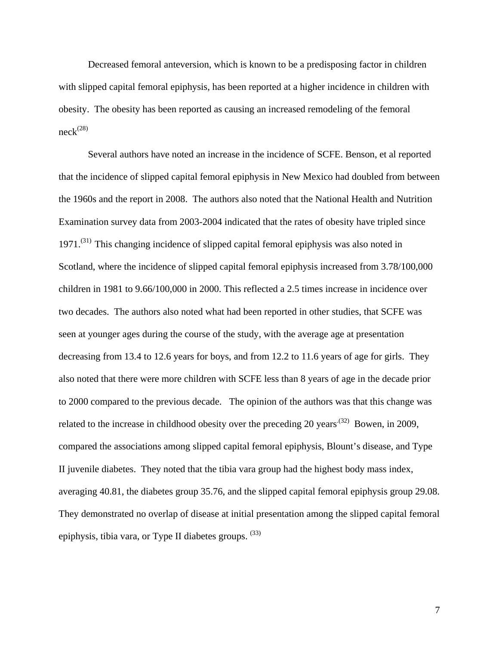Decreased femoral anteversion, which is known to be a predisposing factor in children with slipped capital femoral epiphysis, has been reported at a higher incidence in children with obesity. The obesity has been reported as causing an increased remodeling of the femoral  $neck<sup>(28)</sup>$ 

 Several authors have noted an increase in the incidence of SCFE. Benson, et al reported that the incidence of slipped capital femoral epiphysis in New Mexico had doubled from between the 1960s and the report in 2008. The authors also noted that the National Health and Nutrition Examination survey data from 2003-2004 indicated that the rates of obesity have tripled since 1971.<sup>(31)</sup> This changing incidence of slipped capital femoral epiphysis was also noted in Scotland, where the incidence of slipped capital femoral epiphysis increased from 3.78/100,000 children in 1981 to 9.66/100,000 in 2000. This reflected a 2.5 times increase in incidence over two decades. The authors also noted what had been reported in other studies, that SCFE was seen at younger ages during the course of the study, with the average age at presentation decreasing from 13.4 to 12.6 years for boys, and from 12.2 to 11.6 years of age for girls. They also noted that there were more children with SCFE less than 8 years of age in the decade prior to 2000 compared to the previous decade. The opinion of the authors was that this change was related to the increase in childhood obesity over the preceding 20 years<sup>(32)</sup> Bowen, in 2009, compared the associations among slipped capital femoral epiphysis, Blount's disease, and Type II juvenile diabetes. They noted that the tibia vara group had the highest body mass index, averaging 40.81, the diabetes group 35.76, and the slipped capital femoral epiphysis group 29.08. They demonstrated no overlap of disease at initial presentation among the slipped capital femoral epiphysis, tibia vara, or Type II diabetes groups. <sup>(33)</sup>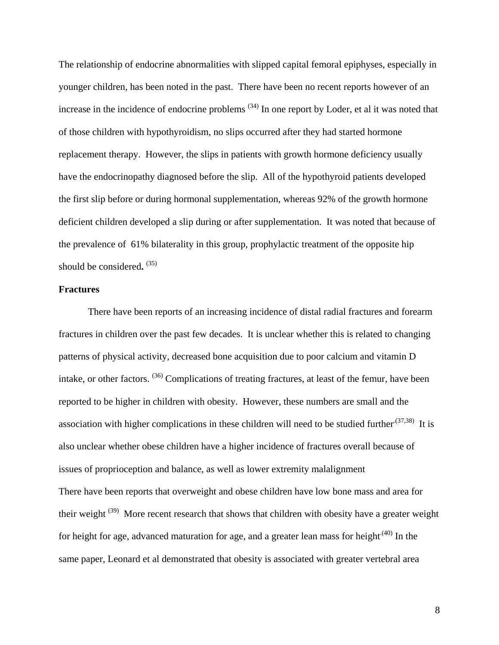The relationship of endocrine abnormalities with slipped capital femoral epiphyses, especially in younger children, has been noted in the past. There have been no recent reports however of an increase in the incidence of endocrine problems (34) In one report by Loder, et al it was noted that of those children with hypothyroidism, no slips occurred after they had started hormone replacement therapy. However, the slips in patients with growth hormone deficiency usually have the endocrinopathy diagnosed before the slip. All of the hypothyroid patients developed the first slip before or during hormonal supplementation, whereas 92% of the growth hormone deficient children developed a slip during or after supplementation. It was noted that because of the prevalence of 61% bilaterality in this group, prophylactic treatment of the opposite hip should be considered**.** (35)

# **Fractures**

 There have been reports of an increasing incidence of distal radial fractures and forearm fractures in children over the past few decades. It is unclear whether this is related to changing patterns of physical activity, decreased bone acquisition due to poor calcium and vitamin D intake, or other factors. (36) Complications of treating fractures, at least of the femur, have been reported to be higher in children with obesity. However, these numbers are small and the association with higher complications in these children will need to be studied further.<sup>(37,38)</sup> It is also unclear whether obese children have a higher incidence of fractures overall because of issues of proprioception and balance, as well as lower extremity malalignment There have been reports that overweight and obese children have low bone mass and area for their weight (39)More recent research that shows that children with obesity have a greater weight for height for age, advanced maturation for age, and a greater lean mass for height<sup> $(40)$ </sup> In the same paper, Leonard et al demonstrated that obesity is associated with greater vertebral area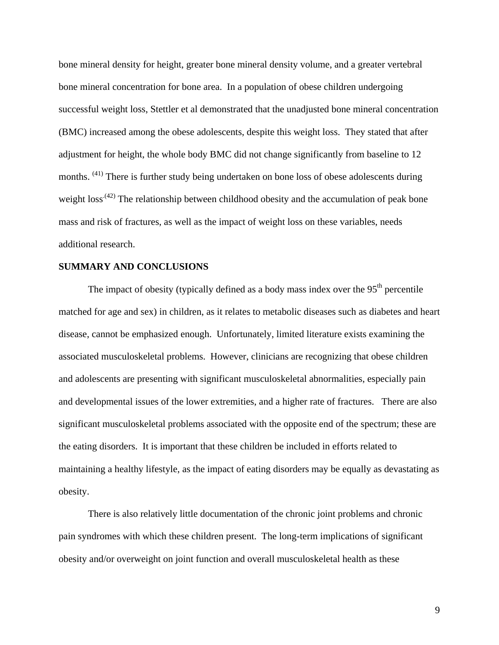bone mineral density for height, greater bone mineral density volume, and a greater vertebral bone mineral concentration for bone area. In a population of obese children undergoing successful weight loss, Stettler et al demonstrated that the unadjusted bone mineral concentration (BMC) increased among the obese adolescents, despite this weight loss. They stated that after adjustment for height, the whole body BMC did not change significantly from baseline to 12 months. (41) There is further study being undertaken on bone loss of obese adolescents during weight  $loss^{(42)}$  The relationship between childhood obesity and the accumulation of peak bone mass and risk of fractures, as well as the impact of weight loss on these variables, needs additional research.

# **SUMMARY AND CONCLUSIONS**

The impact of obesity (typically defined as a body mass index over the  $95<sup>th</sup>$  percentile matched for age and sex) in children, as it relates to metabolic diseases such as diabetes and heart disease, cannot be emphasized enough. Unfortunately, limited literature exists examining the associated musculoskeletal problems. However, clinicians are recognizing that obese children and adolescents are presenting with significant musculoskeletal abnormalities, especially pain and developmental issues of the lower extremities, and a higher rate of fractures. There are also significant musculoskeletal problems associated with the opposite end of the spectrum; these are the eating disorders. It is important that these children be included in efforts related to maintaining a healthy lifestyle, as the impact of eating disorders may be equally as devastating as obesity.

 There is also relatively little documentation of the chronic joint problems and chronic pain syndromes with which these children present. The long-term implications of significant obesity and/or overweight on joint function and overall musculoskeletal health as these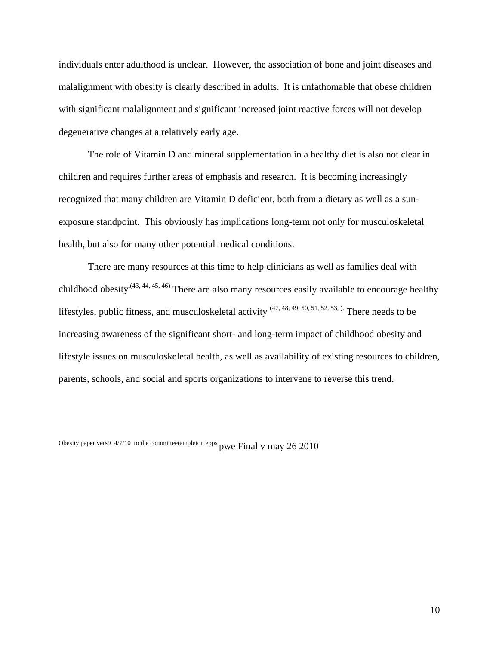individuals enter adulthood is unclear. However, the association of bone and joint diseases and malalignment with obesity is clearly described in adults. It is unfathomable that obese children with significant malalignment and significant increased joint reactive forces will not develop degenerative changes at a relatively early age.

 The role of Vitamin D and mineral supplementation in a healthy diet is also not clear in children and requires further areas of emphasis and research. It is becoming increasingly recognized that many children are Vitamin D deficient, both from a dietary as well as a sunexposure standpoint. This obviously has implications long-term not only for musculoskeletal health, but also for many other potential medical conditions.

 There are many resources at this time to help clinicians as well as families deal with childhood obesity<sup>(43, 44, 45, 46)</sup> There are also many resources easily available to encourage healthy lifestyles, public fitness, and musculoskeletal activity  $(47, 48, 49, 50, 51, 52, 53)$ . There needs to be increasing awareness of the significant short- and long-term impact of childhood obesity and lifestyle issues on musculoskeletal health, as well as availability of existing resources to children, parents, schools, and social and sports organizations to intervene to reverse this trend.

Obesity paper vers9 4/7/10 to the committeetempleton epps pwe Final v may 26 2010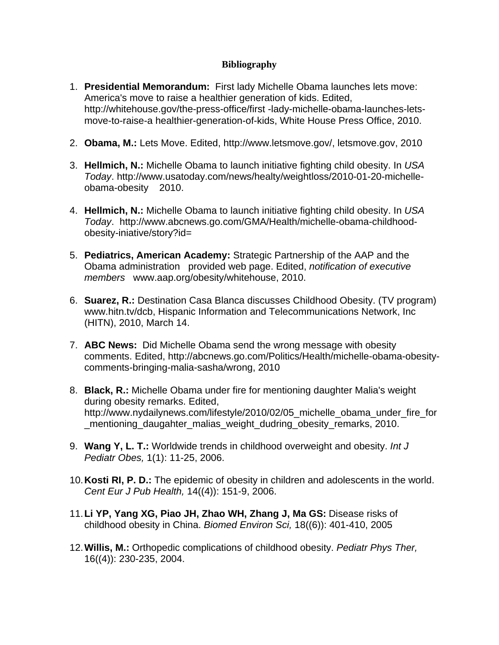# **Bibliography**

- 1. **Presidential Memorandum:** First lady Michelle Obama launches lets move: America's move to raise a healthier generation of kids. Edited, http://whitehouse.gov/the-press-office/first -lady-michelle-obama-launches-letsmove-to-raise-a healthier-generation-of-kids, White House Press Office, 2010.
- 2. **Obama, M.:** Lets Move. Edited, http://www.letsmove.gov/, letsmove.gov, 2010
- 3. **Hellmich, N.:** Michelle Obama to launch initiative fighting child obesity. In *USA Today*. http://www.usatoday.com/news/healty/weightloss/2010-01-20-michelleobama-obesity 2010.
- 4. **Hellmich, N.:** Michelle Obama to launch initiative fighting child obesity. In *USA Today*. http://www.abcnews.go.com/GMA/Health/michelle-obama-childhoodobesity-iniative/story?id=
- 5. **Pediatrics, American Academy:** Strategic Partnership of the AAP and the Obama administration provided web page. Edited, *notification of executive members* www.aap.org/obesity/whitehouse, 2010.
- 6. **Suarez, R.:** Destination Casa Blanca discusses Childhood Obesity. (TV program) www.hitn.tv/dcb, Hispanic Information and Telecommunications Network, Inc (HITN), 2010, March 14.
- 7. **ABC News:** Did Michelle Obama send the wrong message with obesity comments. Edited, http://abcnews.go.com/Politics/Health/michelle-obama-obesitycomments-bringing-malia-sasha/wrong, 2010
- 8. **Black, R.:** Michelle Obama under fire for mentioning daughter Malia's weight during obesity remarks. Edited, http://www.nydailynews.com/lifestyle/2010/02/05 michelle obama under fire for \_mentioning\_daugahter\_malias\_weight\_dudring\_obesity\_remarks, 2010.
- 9. **Wang Y, L. T.:** Worldwide trends in childhood overweight and obesity. *Int J Pediatr Obes,* 1(1): 11-25, 2006.
- 10. **Kosti RI, P. D.:** The epidemic of obesity in children and adolescents in the world. *Cent Eur J Pub Health,* 14((4)): 151-9, 2006.
- 11. **Li YP, Yang XG, Piao JH, Zhao WH, Zhang J, Ma GS:** Disease risks of childhood obesity in China. *Biomed Environ Sci,* 18((6)): 401-410, 2005
- 12. **Willis, M.:** Orthopedic complications of childhood obesity. *Pediatr Phys Ther,*  16((4)): 230-235, 2004.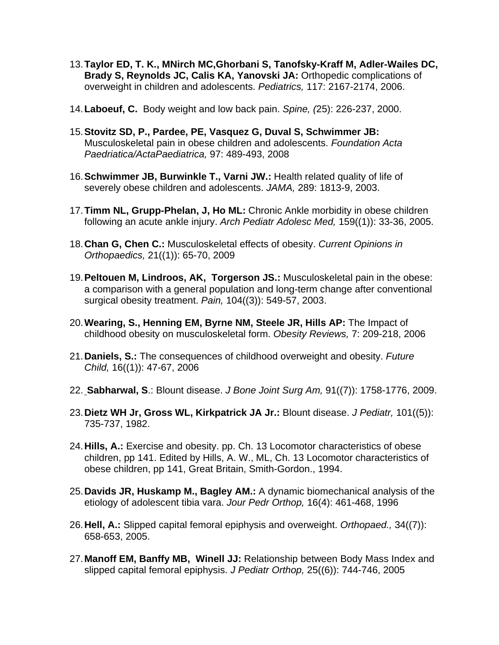- 13. **Taylor ED, T. K., MNirch MC,Ghorbani S, Tanofsky-Kraff M, Adler-Wailes DC, Brady S, Reynolds JC, Calis KA, Yanovski JA:** Orthopedic complications of overweight in children and adolescents. *Pediatrics,* 117: 2167-2174, 2006.
- 14. **Laboeuf, C.** Body weight and low back pain. *Spine, (*25): 226-237, 2000.
- 15. **Stovitz SD, P., Pardee, PE, Vasquez G, Duval S, Schwimmer JB:** Musculoskeletal pain in obese children and adolescents. *Foundation Acta Paedriatica/ActaPaediatrica,* 97: 489-493, 2008
- 16. **Schwimmer JB, Burwinkle T., Varni JW.:** Health related quality of life of severely obese children and adolescents. *JAMA,* 289: 1813-9, 2003.
- 17. **Timm NL, Grupp-Phelan, J, Ho ML:** Chronic Ankle morbidity in obese children following an acute ankle injury. *Arch Pediatr Adolesc Med,* 159((1)): 33-36, 2005.
- 18. **Chan G, Chen C.:** Musculoskeletal effects of obesity. *Current Opinions in Orthopaedics,* 21((1)): 65-70, 2009
- 19. **Peltouen M, Lindroos, AK, Torgerson JS.:** Musculoskeletal pain in the obese: a comparison with a general population and long-term change after conventional surgical obesity treatment. *Pain,* 104((3)): 549-57, 2003.
- 20. **Wearing, S., Henning EM, Byrne NM, Steele JR, Hills AP:** The Impact of childhood obesity on musculoskeletal form. *Obesity Reviews,* 7: 209-218, 2006
- 21. **Daniels, S.:** The consequences of childhood overweight and obesity. *Future Child,* 16((1)): 47-67, 2006
- 22. **Sabharwal, S**.: Blount disease. *J Bone Joint Surg Am,* 91((7)): 1758-1776, 2009.
- 23. **Dietz WH Jr, Gross WL, Kirkpatrick JA Jr.:** Blount disease. *J Pediatr,* 101((5)): 735-737, 1982.
- 24. **Hills, A.:** Exercise and obesity. pp. Ch. 13 Locomotor characteristics of obese children, pp 141. Edited by Hills, A. W., ML, Ch. 13 Locomotor characteristics of obese children, pp 141, Great Britain, Smith-Gordon., 1994.
- 25. **Davids JR, Huskamp M., Bagley AM.:** A dynamic biomechanical analysis of the etiology of adolescent tibia vara. *Jour Pedr Orthop,* 16(4): 461-468, 1996
- 26. **Hell, A.:** Slipped capital femoral epiphysis and overweight. *Orthopaed.,* 34((7)): 658-653, 2005.
- 27. **Manoff EM, Banffy MB, Winell JJ:** Relationship between Body Mass Index and slipped capital femoral epiphysis. *J Pediatr Orthop,* 25((6)): 744-746, 2005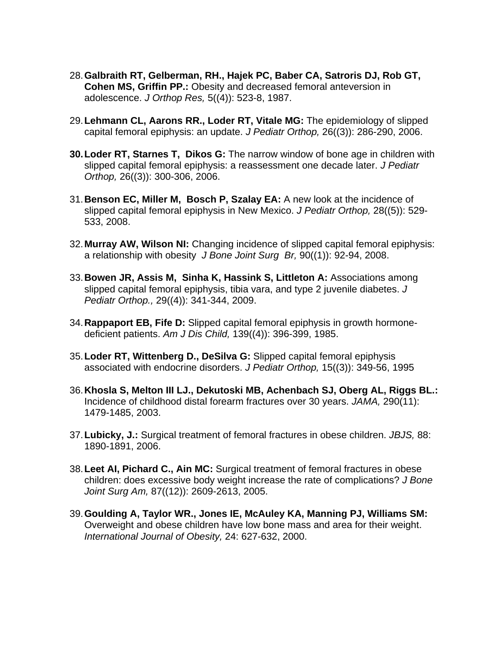- 28. **Galbraith RT, Gelberman, RH., Hajek PC, Baber CA, Satroris DJ, Rob GT, Cohen MS, Griffin PP.:** Obesity and decreased femoral anteversion in adolescence. *J Orthop Res,* 5((4)): 523-8, 1987.
- 29. **Lehmann CL, Aarons RR., Loder RT, Vitale MG:** The epidemiology of slipped capital femoral epiphysis: an update. *J Pediatr Orthop,* 26((3)): 286-290, 2006.
- **30. Loder RT, Starnes T, Dikos G:** The narrow window of bone age in children with slipped capital femoral epiphysis: a reassessment one decade later. *J Pediatr Orthop,* 26((3)): 300-306, 2006.
- 31. **Benson EC, Miller M, Bosch P, Szalay EA:** A new look at the incidence of slipped capital femoral epiphysis in New Mexico. *J Pediatr Orthop,* 28((5)): 529- 533, 2008.
- 32. **Murray AW, Wilson NI:** Changing incidence of slipped capital femoral epiphysis: a relationship with obesity *J Bone Joint Surg Br,* 90((1)): 92-94, 2008.
- 33. **Bowen JR, Assis M, Sinha K, Hassink S, Littleton A:** Associations among slipped capital femoral epiphysis, tibia vara, and type 2 juvenile diabetes. *J Pediatr Orthop.,* 29((4)): 341-344, 2009.
- 34. **Rappaport EB, Fife D:** Slipped capital femoral epiphysis in growth hormonedeficient patients. *Am J Dis Child,* 139((4)): 396-399, 1985.
- 35. **Loder RT, Wittenberg D., DeSilva G:** Slipped capital femoral epiphysis associated with endocrine disorders. *J Pediatr Orthop,* 15((3)): 349-56, 1995
- 36. **Khosla S, Melton III LJ., Dekutoski MB, Achenbach SJ, Oberg AL, Riggs BL.:** Incidence of childhood distal forearm fractures over 30 years. *JAMA,* 290(11): 1479-1485, 2003.
- 37. **Lubicky, J.:** Surgical treatment of femoral fractures in obese children. *JBJS,* 88: 1890-1891, 2006.
- 38. **Leet AI, Pichard C., Ain MC:** Surgical treatment of femoral fractures in obese children: does excessive body weight increase the rate of complications? *J Bone Joint Surg Am,* 87((12)): 2609-2613, 2005.
- 39. **Goulding A, Taylor WR., Jones IE, McAuley KA, Manning PJ, Williams SM:** Overweight and obese children have low bone mass and area for their weight. *International Journal of Obesity,* 24: 627-632, 2000.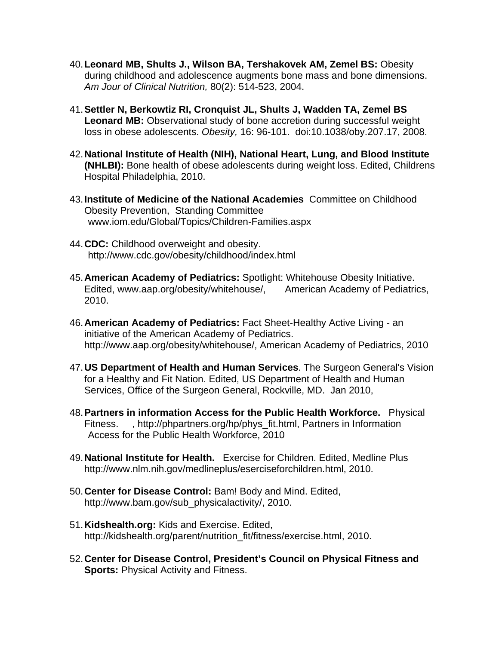- 40. **Leonard MB, Shults J., Wilson BA, Tershakovek AM, Zemel BS:** Obesity during childhood and adolescence augments bone mass and bone dimensions. *Am Jour of Clinical Nutrition,* 80(2): 514-523, 2004.
- 41. **Settler N, Berkowtiz RI, Cronquist JL, Shults J, Wadden TA, Zemel BS Leonard MB:** Observational study of bone accretion during successful weight loss in obese adolescents. *Obesity,* 16: 96-101. doi:10.1038/oby.207.17, 2008.
- 42. **National Institute of Health (NIH), National Heart, Lung, and Blood Institute (NHLBI):** Bone health of obese adolescents during weight loss. Edited, Childrens Hospital Philadelphia, 2010.
- 43. **Institute of Medicine of the National Academies** Committee on Childhood Obesity Prevention, Standing Committee www.iom.edu/Global/Topics/Children-Families.aspx
- 44. **CDC:** Childhood overweight and obesity. http://www.cdc.gov/obesity/childhood/index.html
- 45. **American Academy of Pediatrics:** Spotlight: Whitehouse Obesity Initiative. Edited, www.aap.org/obesity/whitehouse/, American Academy of Pediatrics, 2010.
- 46. **American Academy of Pediatrics:** Fact Sheet-Healthy Active Living an initiative of the American Academy of Pediatrics. http://www.aap.org/obesity/whitehouse/, American Academy of Pediatrics, 2010
- 47. **US Department of Health and Human Services**. The Surgeon General's Vision for a Healthy and Fit Nation. Edited, US Department of Health and Human Services, Office of the Surgeon General, Rockville, MD. Jan 2010,
- 48. **Partners in information Access for the Public Health Workforce.** Physical Fitness. , http://phpartners.org/hp/phys\_fit.html, Partners in Information Access for the Public Health Workforce, 2010
- 49. **National Institute for Health.** Exercise for Children. Edited, Medline Plus http://www.nlm.nih.gov/medlineplus/eserciseforchildren.html, 2010.
- 50. **Center for Disease Control:** Bam! Body and Mind. Edited, http://www.bam.gov/sub\_physicalactivity/, 2010.
- 51. **Kidshealth.org:** Kids and Exercise. Edited, http://kidshealth.org/parent/nutrition\_fit/fitness/exercise.html, 2010.
- 52. **Center for Disease Control, President's Council on Physical Fitness and Sports:** Physical Activity and Fitness.